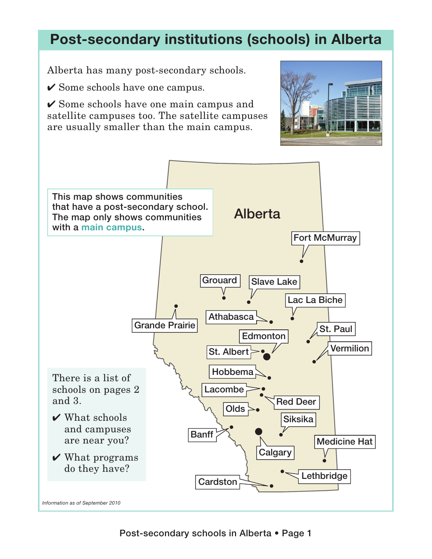## **Post-secondary institutions (schools) in Alberta**

Alberta has many post-secondary schools.

 $\checkmark$  Some schools have one campus.

 $\checkmark$  Some schools have one main campus and satellite campuses too. The satellite campuses are usually smaller than the main campus.



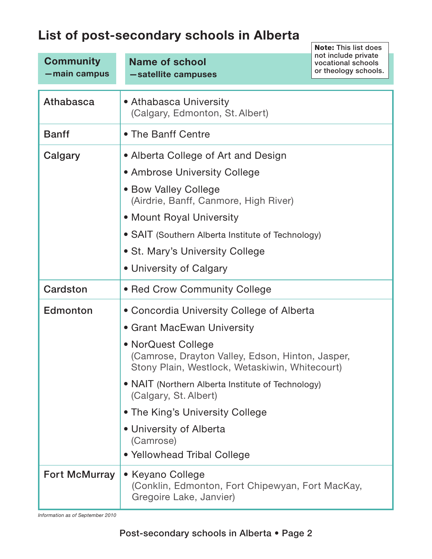## **List of post-secondary schools in Alberta**

|                      |                                                                                                                          | <b>Note: This list does</b>               |
|----------------------|--------------------------------------------------------------------------------------------------------------------------|-------------------------------------------|
| <b>Community</b>     | <b>Name of school</b>                                                                                                    | not include private<br>vocational schools |
| -main campus         | -satellite campuses                                                                                                      | or theology schools.                      |
|                      |                                                                                                                          |                                           |
| Athabasca            | • Athabasca University<br>(Calgary, Edmonton, St. Albert)                                                                |                                           |
| <b>Banff</b>         | • The Banff Centre                                                                                                       |                                           |
| Calgary              | • Alberta College of Art and Design                                                                                      |                                           |
|                      | • Ambrose University College                                                                                             |                                           |
|                      | • Bow Valley College<br>(Airdrie, Banff, Canmore, High River)                                                            |                                           |
|                      | • Mount Royal University                                                                                                 |                                           |
|                      | • SAIT (Southern Alberta Institute of Technology)                                                                        |                                           |
|                      | • St. Mary's University College                                                                                          |                                           |
|                      | • University of Calgary                                                                                                  |                                           |
| Cardston             | • Red Crow Community College                                                                                             |                                           |
| Edmonton             | • Concordia University College of Alberta                                                                                |                                           |
|                      | • Grant MacEwan University                                                                                               |                                           |
|                      | • NorQuest College<br>(Camrose, Drayton Valley, Edson, Hinton, Jasper,<br>Stony Plain, Westlock, Wetaskiwin, Whitecourt) |                                           |
|                      | • NAIT (Northern Alberta Institute of Technology)<br>(Calgary, St. Albert)                                               |                                           |
|                      | • The King's University College                                                                                          |                                           |
|                      | • University of Alberta<br>(Camrose)                                                                                     |                                           |
|                      | • Yellowhead Tribal College                                                                                              |                                           |
| <b>Fort McMurray</b> | • Keyano College<br>(Conklin, Edmonton, Fort Chipewyan, Fort MacKay,<br>Gregoire Lake, Janvier)                          |                                           |

*Information as of September 2010*